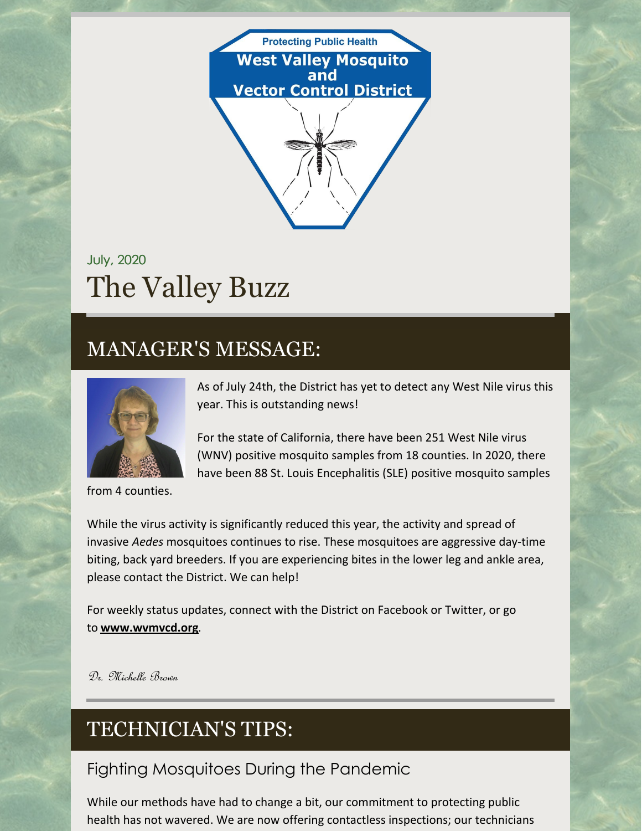

# July, 2020 The Valley Buzz

## MANAGER'S MESSAGE:



from 4 counties.

As of July 24th, the District has yet to detect any West Nile virus this year. This is outstanding news!

For the state of California, there have been 251 West Nile virus (WNV) positive mosquito samples from 18 counties. In 2020, there have been 88 St. Louis Encephalitis (SLE) positive mosquito samples

While the virus activity is significantly reduced this year, the activity and spread of invasive *Aedes* mosquitoes continues to rise. These mosquitoes are aggressive day-time biting, back yard breeders. If you are experiencing bites in the lower leg and ankle area, please contact the District. We can help!

For weekly status updates, connect with the District on Facebook or Twitter, or go to **[www.wvmvcd.org](http://www.wvmvcd.org/)**.

Dr. Michelle Brown

# TECHNICIAN'S TIPS:

### Fighting Mosquitoes During the Pandemic

While our methods have had to change a bit, our commitment to protecting public health has not wavered. We are now offering contactless inspections; our technicians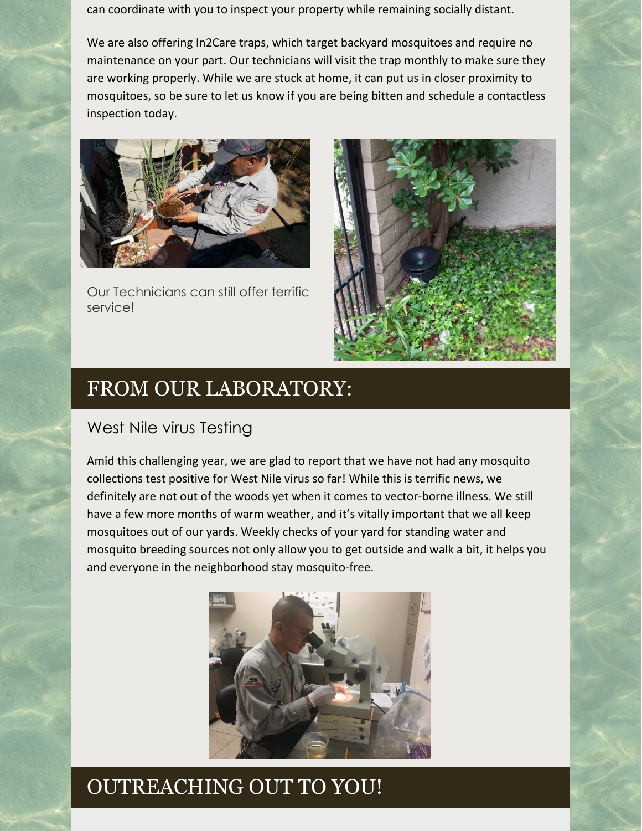can coordinate with you to inspect your property while remaining socially distant.

We are also offering In2Care traps, which target backyard mosquitoes and require no maintenance on your part. Our technicians will visit the trap monthly to make sure they are working properly. While we are stuck at home, it can put us in closer proximity to mosquitoes, so be sure to let us know if you are being bitten and schedule a contactless inspection today.



Our Technicians can still offer terrific service!



## FROM OUR LABORATORY:

#### West Nile virus Testing

Amid this challenging year, we are glad to report that we have not had any mosquito collections test positive for West Nile virus so far! While this is terrific news, we definitely are not out of the woods yet when it comes to vector-borne illness. We still have a few more months of warm weather, and it's vitally important that we all keep mosquitoes out of our yards. Weekly checks of your yard for standing water and mosquito breeding sources not only allow you to get outside and walk a bit, it helps you and everyone in the neighborhood stay mosquito-free.



## OUTREACHING OUT TO YOU!